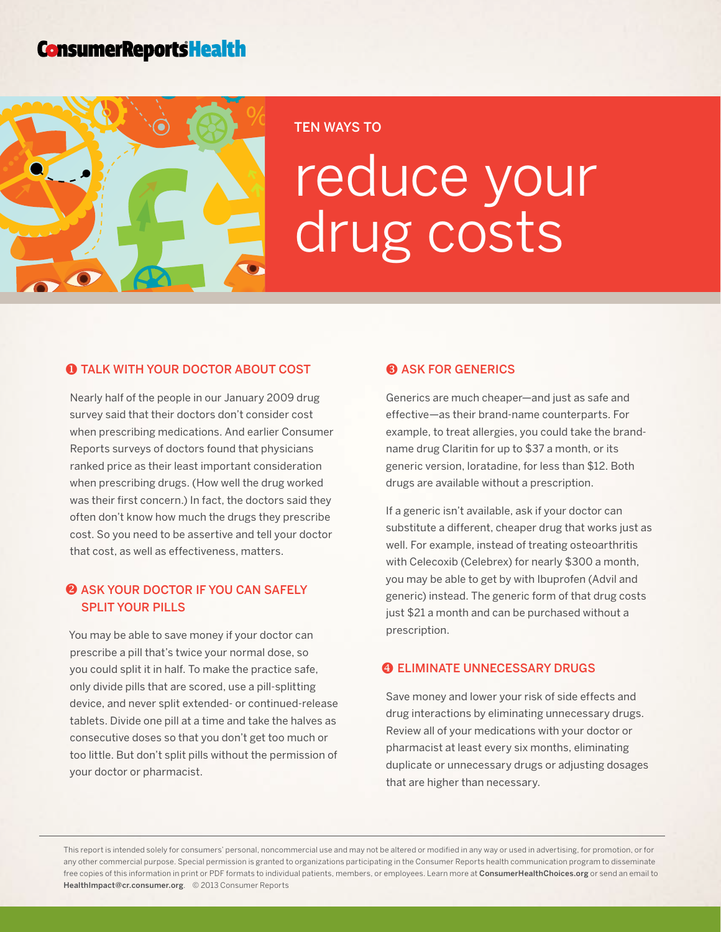# **ConsumerReportsHealth**



#### TEN WAYS TO

# reduce your drug costs

#### **O** TALK WITH YOUR DOCTOR ABOUT COST

Nearly half of the people in our January 2009 drug survey said that their doctors don't consider cost when prescribing medications. And earlier Consumer Reports surveys of doctors found that physicians ranked price as their least important consideration when prescribing drugs. (How well the drug worked was their first concern.) In fact, the doctors said they often don't know how much the drugs they prescribe cost. So you need to be assertive and tell your doctor that cost, as well as effectiveness, matters.

## **@ ASK YOUR DOCTOR IF YOU CAN SAFELY** split your pills

You may be able to save money if your doctor can prescribe a pill that's twice your normal dose, so you could split it in half. To make the practice safe, only divide pills that are scored, use a pill-splitting device, and never split extended- or continued-release tablets. Divide one pill at a time and take the halves as consecutive doses so that you don't get too much or too little. But don't split pills without the permission of your doctor or pharmacist.

#### **8 ASK FOR GENERICS**

Generics are much cheaper—and just as safe and effective—as their brand-name counterparts. For example, to treat allergies, you could take the brandname drug Claritin for up to \$37 a month, or its generic version, loratadine, for less than \$12. Both drugs are available without a prescription.

If a generic isn't available, ask if your doctor can substitute a different, cheaper drug that works just as well. For example, instead of treating osteoarthritis with Celecoxib (Celebrex) for nearly \$300 a month, you may be able to get by with Ibuprofen (Advil and generic) instead. The generic form of that drug costs just \$21 a month and can be purchased without a prescription.

#### **4 ELIMINATE UNNECESSARY DRUGS**

Save money and lower your risk of side effects and drug interactions by eliminating unnecessary drugs. Review all of your medications with your doctor or pharmacist at least every six months, eliminating duplicate or unnecessary drugs or adjusting dosages that are higher than necessary.

This report is intended solely for consumers' personal, noncommercial use and may not be altered or modified in any way or used in advertising, for promotion, or for any other commercial purpose. Special permission is granted to organizations participating in the Consumer Reports health communication program to disseminate free copies of this information in print or PDF formats to individual patients, members, or employees. Learn more at [ConsumerHealthChoices.org](http://www.ConsumerHealthChoices.org) or send an email to HealthImpact@cr.consumer.org. © 2013 Consumer Reports